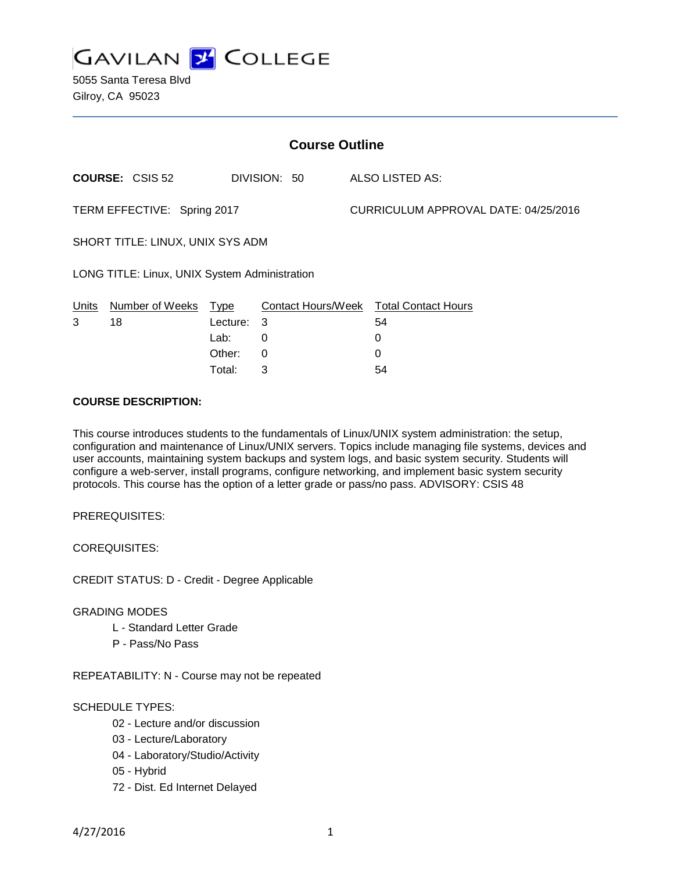

5055 Santa Teresa Blvd Gilroy, CA 95023

| <b>Course Outline</b>                         |                        |          |              |                                      |                                        |
|-----------------------------------------------|------------------------|----------|--------------|--------------------------------------|----------------------------------------|
|                                               | <b>COURSE: CSIS 52</b> |          | DIVISION: 50 |                                      | <b>ALSO LISTED AS:</b>                 |
| TERM EFFECTIVE: Spring 2017                   |                        |          |              | CURRICULUM APPROVAL DATE: 04/25/2016 |                                        |
| SHORT TITLE: LINUX, UNIX SYS ADM              |                        |          |              |                                      |                                        |
| LONG TITLE: Linux, UNIX System Administration |                        |          |              |                                      |                                        |
| Units                                         | Number of Weeks        | Type     |              |                                      | Contact Hours/Week Total Contact Hours |
| 3                                             | 18                     | Lecture: | 3            |                                      | 54                                     |
|                                               |                        | Lab:     | 0            |                                      | 0                                      |
|                                               |                        | Other:   | 0            |                                      | 0                                      |
|                                               |                        | Total:   | 3            |                                      | 54                                     |

### **COURSE DESCRIPTION:**

This course introduces students to the fundamentals of Linux/UNIX system administration: the setup, configuration and maintenance of Linux/UNIX servers. Topics include managing file systems, devices and user accounts, maintaining system backups and system logs, and basic system security. Students will configure a web-server, install programs, configure networking, and implement basic system security protocols. This course has the option of a letter grade or pass/no pass. ADVISORY: CSIS 48

PREREQUISITES:

COREQUISITES:

CREDIT STATUS: D - Credit - Degree Applicable

### GRADING MODES

- L Standard Letter Grade
- P Pass/No Pass

REPEATABILITY: N - Course may not be repeated

## SCHEDULE TYPES:

- 02 Lecture and/or discussion
- 03 Lecture/Laboratory
- 04 Laboratory/Studio/Activity
- 05 Hybrid
- 72 Dist. Ed Internet Delayed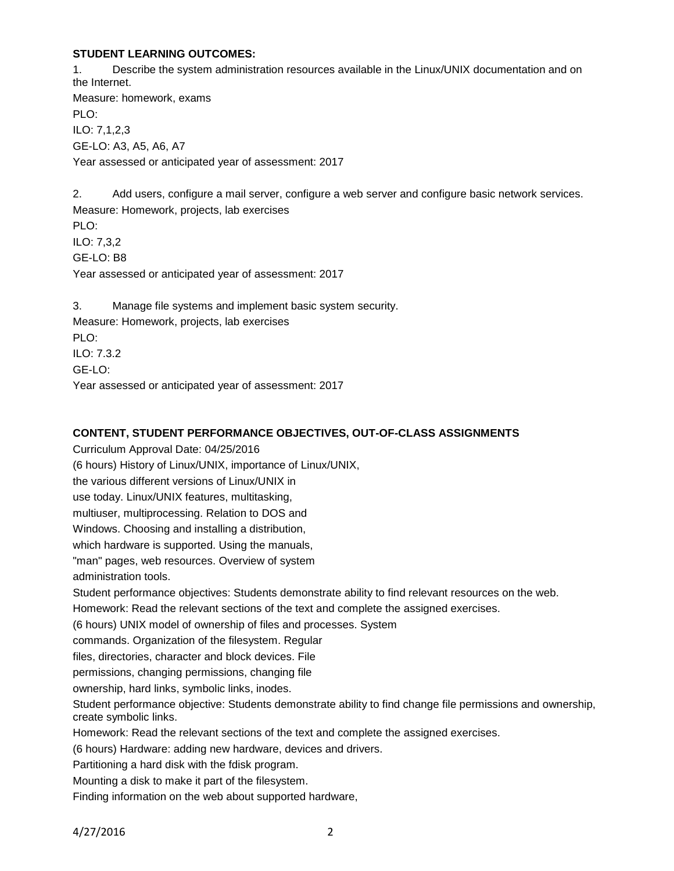### **STUDENT LEARNING OUTCOMES:**

1. Describe the system administration resources available in the Linux/UNIX documentation and on the Internet. Measure: homework, exams PLO: ILO: 7,1,2,3 GE-LO: A3, A5, A6, A7 Year assessed or anticipated year of assessment: 2017

2. Add users, configure a mail server, configure a web server and configure basic network services. Measure: Homework, projects, lab exercises PLO: ILO: 7,3,2 GE-LO: B8 Year assessed or anticipated year of assessment: 2017 3. Manage file systems and implement basic system security. Measure: Homework, projects, lab exercises PLO:

ILO: 7.3.2 GE-LO: Year assessed or anticipated year of assessment: 2017

### **CONTENT, STUDENT PERFORMANCE OBJECTIVES, OUT-OF-CLASS ASSIGNMENTS**

Curriculum Approval Date: 04/25/2016 (6 hours) History of Linux/UNIX, importance of Linux/UNIX, the various different versions of Linux/UNIX in use today. Linux/UNIX features, multitasking, multiuser, multiprocessing. Relation to DOS and Windows. Choosing and installing a distribution, which hardware is supported. Using the manuals, "man" pages, web resources. Overview of system administration tools. Student performance objectives: Students demonstrate ability to find relevant resources on the web. Homework: Read the relevant sections of the text and complete the assigned exercises. (6 hours) UNIX model of ownership of files and processes. System commands. Organization of the filesystem. Regular files, directories, character and block devices. File permissions, changing permissions, changing file ownership, hard links, symbolic links, inodes. Student performance objective: Students demonstrate ability to find change file permissions and ownership, create symbolic links. Homework: Read the relevant sections of the text and complete the assigned exercises. (6 hours) Hardware: adding new hardware, devices and drivers. Partitioning a hard disk with the fdisk program. Mounting a disk to make it part of the filesystem.

Finding information on the web about supported hardware,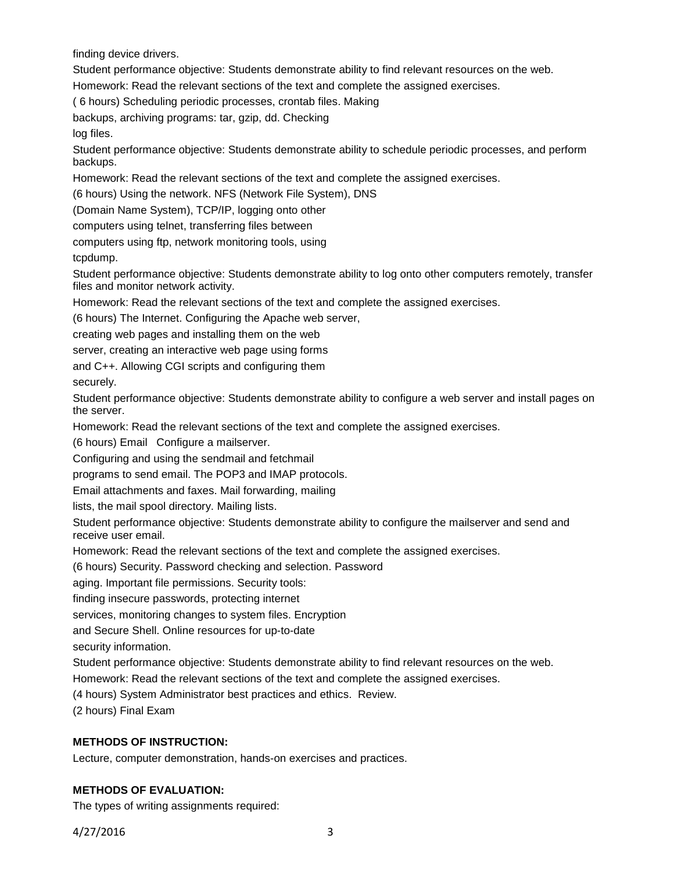finding device drivers.

Student performance objective: Students demonstrate ability to find relevant resources on the web.

Homework: Read the relevant sections of the text and complete the assigned exercises.

( 6 hours) Scheduling periodic processes, crontab files. Making

backups, archiving programs: tar, gzip, dd. Checking

log files.

Student performance objective: Students demonstrate ability to schedule periodic processes, and perform backups.

Homework: Read the relevant sections of the text and complete the assigned exercises.

(6 hours) Using the network. NFS (Network File System), DNS

(Domain Name System), TCP/IP, logging onto other

computers using telnet, transferring files between

computers using ftp, network monitoring tools, using

tcpdump.

Student performance objective: Students demonstrate ability to log onto other computers remotely, transfer files and monitor network activity.

Homework: Read the relevant sections of the text and complete the assigned exercises.

(6 hours) The Internet. Configuring the Apache web server,

creating web pages and installing them on the web

server, creating an interactive web page using forms

and C++. Allowing CGI scripts and configuring them

securely.

Student performance objective: Students demonstrate ability to configure a web server and install pages on the server.

Homework: Read the relevant sections of the text and complete the assigned exercises.

(6 hours) Email Configure a mailserver.

Configuring and using the sendmail and fetchmail

programs to send email. The POP3 and IMAP protocols.

Email attachments and faxes. Mail forwarding, mailing

lists, the mail spool directory. Mailing lists.

Student performance objective: Students demonstrate ability to configure the mailserver and send and receive user email.

Homework: Read the relevant sections of the text and complete the assigned exercises.

(6 hours) Security. Password checking and selection. Password

aging. Important file permissions. Security tools:

finding insecure passwords, protecting internet

services, monitoring changes to system files. Encryption

and Secure Shell. Online resources for up-to-date

security information.

Student performance objective: Students demonstrate ability to find relevant resources on the web.

Homework: Read the relevant sections of the text and complete the assigned exercises.

(4 hours) System Administrator best practices and ethics. Review.

(2 hours) Final Exam

## **METHODS OF INSTRUCTION:**

Lecture, computer demonstration, hands-on exercises and practices.

### **METHODS OF EVALUATION:**

The types of writing assignments required:

4/27/2016 3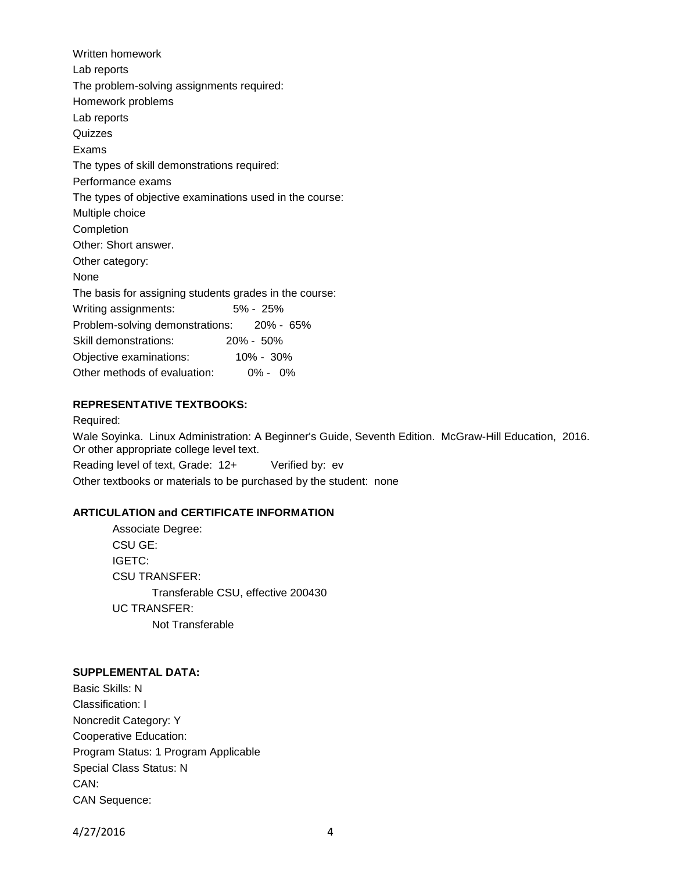Written homework Lab reports The problem-solving assignments required: Homework problems Lab reports **Quizzes** Exams The types of skill demonstrations required: Performance exams The types of objective examinations used in the course: Multiple choice Completion Other: Short answer. Other category: None The basis for assigning students grades in the course: Writing assignments: 5% - 25% Problem-solving demonstrations: 20% - 65% Skill demonstrations: 20% - 50% Objective examinations: 10% - 30% Other methods of evaluation: 0% - 0%

### **REPRESENTATIVE TEXTBOOKS:**

Required: Wale Soyinka. Linux Administration: A Beginner's Guide, Seventh Edition. McGraw-Hill Education, 2016. Or other appropriate college level text. Reading level of text, Grade: 12+ Verified by: ev

Other textbooks or materials to be purchased by the student: none

# **ARTICULATION and CERTIFICATE INFORMATION**

Associate Degree: CSU GE: IGETC: CSU TRANSFER: Transferable CSU, effective 200430 UC TRANSFER: Not Transferable

### **SUPPLEMENTAL DATA:**

Basic Skills: N Classification: I Noncredit Category: Y Cooperative Education: Program Status: 1 Program Applicable Special Class Status: N CAN: CAN Sequence:

4/27/2016 4